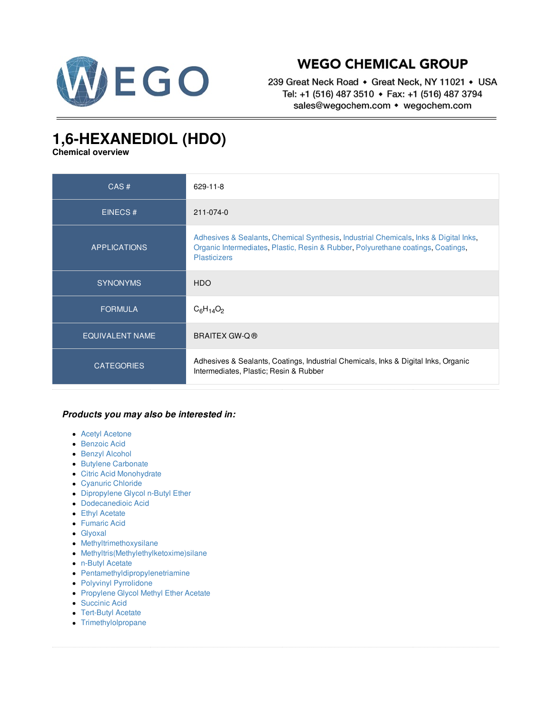

## **WEGO CHEMICAL GROUP**

239 Great Neck Road • Great Neck, NY 11021 • USA Tel: +1 (516) 487 3510 • Fax: +1 (516) 487 3794 sales@wegochem.com • wegochem.com

## **1,6-HEXANEDIOL (HDO)**

**Chemical overview**

| CAS#                   | 629-11-8                                                                                                                                                                                        |
|------------------------|-------------------------------------------------------------------------------------------------------------------------------------------------------------------------------------------------|
| EINECS#                | 211-074-0                                                                                                                                                                                       |
| <b>APPLICATIONS</b>    | Adhesives & Sealants, Chemical Synthesis, Industrial Chemicals, Inks & Digital Inks,<br>Organic Intermediates, Plastic, Resin & Rubber, Polyurethane coatings, Coatings,<br><b>Plasticizers</b> |
| <b>SYNONYMS</b>        | <b>HDO</b>                                                                                                                                                                                      |
| <b>FORMULA</b>         | $C_6H_{14}O_2$                                                                                                                                                                                  |
| <b>EQUIVALENT NAME</b> | BRAITEX GW-Q ®                                                                                                                                                                                  |
| <b>CATEGORIES</b>      | Adhesives & Sealants, Coatings, Industrial Chemicals, Inks & Digital Inks, Organic<br>Intermediates, Plastic; Resin & Rubber                                                                    |

## *Products you may also be interested in:*

- Acetyl [Acetone](/supplier-distributor/acetyl-acetone/3034/629-11-8)
- [Benzoic](/supplier-distributor/benzoic-acid/2391/629-11-8) Acid
- **Benzyl [Alcohol](/supplier-distributor/benzyl-alcohol/2394/629-11-8)**
- **Butylene [Carbonate](/supplier-distributor/butylene-carbonate/2406/629-11-8)**
- Citric Acid [Monohydrate](/supplier-distributor/citric-acid-monohydrate/2432/629-11-8)
- [Cyanuric](/supplier-distributor/cyanuric-chloride/2441/629-11-8) Chloride
- [Dipropylene](/supplier-distributor/dipropylene-glycol-n-butyl-ether/2932/629-11-8) Glycol n-Butyl Ether
- [Dodecanedioic](/supplier-distributor/dodecanedioic-acid/2330/629-11-8) Acid
- **Ethyl [Acetate](/supplier-distributor/ethyl-acetate/2494/629-11-8)**
- [Fumaric](/supplier-distributor/fumaric-acid/2507/629-11-8) Acid
- [Glyoxal](/supplier-distributor/glyoxal/2516/629-11-8)
- [Methyltrimethoxysilane](/supplier-distributor/methyltrimethoxysilane/3079/629-11-8)
- [Methyltris\(Methylethylketoxime\)silane](/supplier-distributor/methyltrismethylethylketoximesilane/3031/629-11-8)
- n-Butyl [Acetate](/supplier-distributor/n-butyl-acetate/3041/629-11-8)
- [Pentamethyldipropylenetriamine](/supplier-distributor/pentamethyldipropylenetriamine/2885/629-11-8)
- Polyvinyl [Pyrrolidone](/supplier-distributor/polyvinyl-pyrrolidone/2641/629-11-8)
- [Propylene](/supplier-distributor/propylene-glycol-methyl-ether-acetate/2674/629-11-8) Glycol Methyl Ether Acetate
- [Succinic](/supplier-distributor/succinic-acid/2983/629-11-8) Acid
- [Tert-Butyl](/supplier-distributor/tert-butyl-acetate/2762/629-11-8) Acetate
- [Trimethylolpropane](/supplier-distributor/trimethylolpropane/2802/629-11-8)